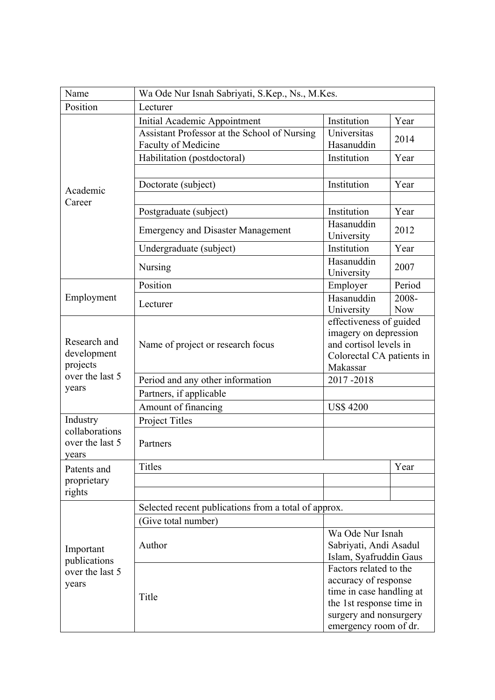| Position<br>Lecturer<br>Initial Academic Appointment<br>Institution<br>Year<br>Assistant Professor at the School of Nursing<br>Universitas<br>2014<br>Faculty of Medicine<br>Hasanuddin<br>Institution<br>Habilitation (postdoctoral)<br>Year<br>Institution<br>Year<br>Doctorate (subject)<br>Academic<br>Career<br>Institution<br>Postgraduate (subject)<br>Year<br>Hasanuddin<br><b>Emergency and Disaster Management</b><br>2012<br>University<br>Institution<br>Undergraduate (subject)<br>Year<br>Hasanuddin<br>Nursing<br>2007<br>University<br>Position<br>Period<br>Employer<br>Hasanuddin<br>Employment<br>2008-<br>Lecturer<br>University<br><b>Now</b><br>effectiveness of guided<br>imagery on depression<br>Research and<br>and cortisol levels in<br>Name of project or research focus<br>development<br>Colorectal CA patients in<br>projects<br>Makassar<br>over the last 5<br>Period and any other information<br>2017-2018<br>years<br>Partners, if applicable<br>Amount of financing<br><b>US\$4200</b><br>Industry<br><b>Project Titles</b><br>collaborations<br>over the last 5<br>Partners<br>vears<br><b>Titles</b><br>Year<br>Patents and | Name                                                  | Wa Ode Nur Isnah Sabriyati, S.Kep., Ns., M.Kes. |                          |  |  |
|--------------------------------------------------------------------------------------------------------------------------------------------------------------------------------------------------------------------------------------------------------------------------------------------------------------------------------------------------------------------------------------------------------------------------------------------------------------------------------------------------------------------------------------------------------------------------------------------------------------------------------------------------------------------------------------------------------------------------------------------------------------------------------------------------------------------------------------------------------------------------------------------------------------------------------------------------------------------------------------------------------------------------------------------------------------------------------------------------------------------------------------------------------------------|-------------------------------------------------------|-------------------------------------------------|--------------------------|--|--|
|                                                                                                                                                                                                                                                                                                                                                                                                                                                                                                                                                                                                                                                                                                                                                                                                                                                                                                                                                                                                                                                                                                                                                                    |                                                       |                                                 |                          |  |  |
|                                                                                                                                                                                                                                                                                                                                                                                                                                                                                                                                                                                                                                                                                                                                                                                                                                                                                                                                                                                                                                                                                                                                                                    |                                                       |                                                 |                          |  |  |
|                                                                                                                                                                                                                                                                                                                                                                                                                                                                                                                                                                                                                                                                                                                                                                                                                                                                                                                                                                                                                                                                                                                                                                    |                                                       |                                                 |                          |  |  |
|                                                                                                                                                                                                                                                                                                                                                                                                                                                                                                                                                                                                                                                                                                                                                                                                                                                                                                                                                                                                                                                                                                                                                                    |                                                       |                                                 |                          |  |  |
|                                                                                                                                                                                                                                                                                                                                                                                                                                                                                                                                                                                                                                                                                                                                                                                                                                                                                                                                                                                                                                                                                                                                                                    |                                                       |                                                 |                          |  |  |
|                                                                                                                                                                                                                                                                                                                                                                                                                                                                                                                                                                                                                                                                                                                                                                                                                                                                                                                                                                                                                                                                                                                                                                    |                                                       |                                                 |                          |  |  |
|                                                                                                                                                                                                                                                                                                                                                                                                                                                                                                                                                                                                                                                                                                                                                                                                                                                                                                                                                                                                                                                                                                                                                                    |                                                       |                                                 |                          |  |  |
|                                                                                                                                                                                                                                                                                                                                                                                                                                                                                                                                                                                                                                                                                                                                                                                                                                                                                                                                                                                                                                                                                                                                                                    |                                                       |                                                 |                          |  |  |
|                                                                                                                                                                                                                                                                                                                                                                                                                                                                                                                                                                                                                                                                                                                                                                                                                                                                                                                                                                                                                                                                                                                                                                    |                                                       |                                                 |                          |  |  |
|                                                                                                                                                                                                                                                                                                                                                                                                                                                                                                                                                                                                                                                                                                                                                                                                                                                                                                                                                                                                                                                                                                                                                                    |                                                       |                                                 |                          |  |  |
|                                                                                                                                                                                                                                                                                                                                                                                                                                                                                                                                                                                                                                                                                                                                                                                                                                                                                                                                                                                                                                                                                                                                                                    |                                                       |                                                 |                          |  |  |
|                                                                                                                                                                                                                                                                                                                                                                                                                                                                                                                                                                                                                                                                                                                                                                                                                                                                                                                                                                                                                                                                                                                                                                    |                                                       |                                                 |                          |  |  |
|                                                                                                                                                                                                                                                                                                                                                                                                                                                                                                                                                                                                                                                                                                                                                                                                                                                                                                                                                                                                                                                                                                                                                                    |                                                       |                                                 |                          |  |  |
|                                                                                                                                                                                                                                                                                                                                                                                                                                                                                                                                                                                                                                                                                                                                                                                                                                                                                                                                                                                                                                                                                                                                                                    |                                                       |                                                 |                          |  |  |
|                                                                                                                                                                                                                                                                                                                                                                                                                                                                                                                                                                                                                                                                                                                                                                                                                                                                                                                                                                                                                                                                                                                                                                    |                                                       |                                                 |                          |  |  |
|                                                                                                                                                                                                                                                                                                                                                                                                                                                                                                                                                                                                                                                                                                                                                                                                                                                                                                                                                                                                                                                                                                                                                                    |                                                       |                                                 |                          |  |  |
|                                                                                                                                                                                                                                                                                                                                                                                                                                                                                                                                                                                                                                                                                                                                                                                                                                                                                                                                                                                                                                                                                                                                                                    |                                                       |                                                 |                          |  |  |
|                                                                                                                                                                                                                                                                                                                                                                                                                                                                                                                                                                                                                                                                                                                                                                                                                                                                                                                                                                                                                                                                                                                                                                    |                                                       |                                                 |                          |  |  |
|                                                                                                                                                                                                                                                                                                                                                                                                                                                                                                                                                                                                                                                                                                                                                                                                                                                                                                                                                                                                                                                                                                                                                                    |                                                       |                                                 |                          |  |  |
|                                                                                                                                                                                                                                                                                                                                                                                                                                                                                                                                                                                                                                                                                                                                                                                                                                                                                                                                                                                                                                                                                                                                                                    |                                                       |                                                 |                          |  |  |
|                                                                                                                                                                                                                                                                                                                                                                                                                                                                                                                                                                                                                                                                                                                                                                                                                                                                                                                                                                                                                                                                                                                                                                    |                                                       |                                                 |                          |  |  |
|                                                                                                                                                                                                                                                                                                                                                                                                                                                                                                                                                                                                                                                                                                                                                                                                                                                                                                                                                                                                                                                                                                                                                                    |                                                       |                                                 |                          |  |  |
|                                                                                                                                                                                                                                                                                                                                                                                                                                                                                                                                                                                                                                                                                                                                                                                                                                                                                                                                                                                                                                                                                                                                                                    |                                                       |                                                 |                          |  |  |
|                                                                                                                                                                                                                                                                                                                                                                                                                                                                                                                                                                                                                                                                                                                                                                                                                                                                                                                                                                                                                                                                                                                                                                    |                                                       |                                                 |                          |  |  |
|                                                                                                                                                                                                                                                                                                                                                                                                                                                                                                                                                                                                                                                                                                                                                                                                                                                                                                                                                                                                                                                                                                                                                                    |                                                       |                                                 |                          |  |  |
|                                                                                                                                                                                                                                                                                                                                                                                                                                                                                                                                                                                                                                                                                                                                                                                                                                                                                                                                                                                                                                                                                                                                                                    | proprietary<br>rights                                 |                                                 |                          |  |  |
|                                                                                                                                                                                                                                                                                                                                                                                                                                                                                                                                                                                                                                                                                                                                                                                                                                                                                                                                                                                                                                                                                                                                                                    |                                                       |                                                 |                          |  |  |
|                                                                                                                                                                                                                                                                                                                                                                                                                                                                                                                                                                                                                                                                                                                                                                                                                                                                                                                                                                                                                                                                                                                                                                    |                                                       |                                                 |                          |  |  |
| Selected recent publications from a total of approx.                                                                                                                                                                                                                                                                                                                                                                                                                                                                                                                                                                                                                                                                                                                                                                                                                                                                                                                                                                                                                                                                                                               | Important<br>publications<br>over the last 5<br>years |                                                 |                          |  |  |
|                                                                                                                                                                                                                                                                                                                                                                                                                                                                                                                                                                                                                                                                                                                                                                                                                                                                                                                                                                                                                                                                                                                                                                    |                                                       | (Give total number)                             |                          |  |  |
| Wa Ode Nur Isnah                                                                                                                                                                                                                                                                                                                                                                                                                                                                                                                                                                                                                                                                                                                                                                                                                                                                                                                                                                                                                                                                                                                                                   |                                                       |                                                 |                          |  |  |
| Author<br>Sabriyati, Andi Asadul                                                                                                                                                                                                                                                                                                                                                                                                                                                                                                                                                                                                                                                                                                                                                                                                                                                                                                                                                                                                                                                                                                                                   |                                                       |                                                 |                          |  |  |
| Islam, Syafruddin Gaus                                                                                                                                                                                                                                                                                                                                                                                                                                                                                                                                                                                                                                                                                                                                                                                                                                                                                                                                                                                                                                                                                                                                             |                                                       |                                                 |                          |  |  |
|                                                                                                                                                                                                                                                                                                                                                                                                                                                                                                                                                                                                                                                                                                                                                                                                                                                                                                                                                                                                                                                                                                                                                                    |                                                       |                                                 | Factors related to the   |  |  |
|                                                                                                                                                                                                                                                                                                                                                                                                                                                                                                                                                                                                                                                                                                                                                                                                                                                                                                                                                                                                                                                                                                                                                                    |                                                       | Title                                           | accuracy of response     |  |  |
|                                                                                                                                                                                                                                                                                                                                                                                                                                                                                                                                                                                                                                                                                                                                                                                                                                                                                                                                                                                                                                                                                                                                                                    |                                                       |                                                 | time in case handling at |  |  |
| the 1st response time in                                                                                                                                                                                                                                                                                                                                                                                                                                                                                                                                                                                                                                                                                                                                                                                                                                                                                                                                                                                                                                                                                                                                           |                                                       |                                                 | surgery and nonsurgery   |  |  |
| emergency room of dr.                                                                                                                                                                                                                                                                                                                                                                                                                                                                                                                                                                                                                                                                                                                                                                                                                                                                                                                                                                                                                                                                                                                                              |                                                       |                                                 |                          |  |  |